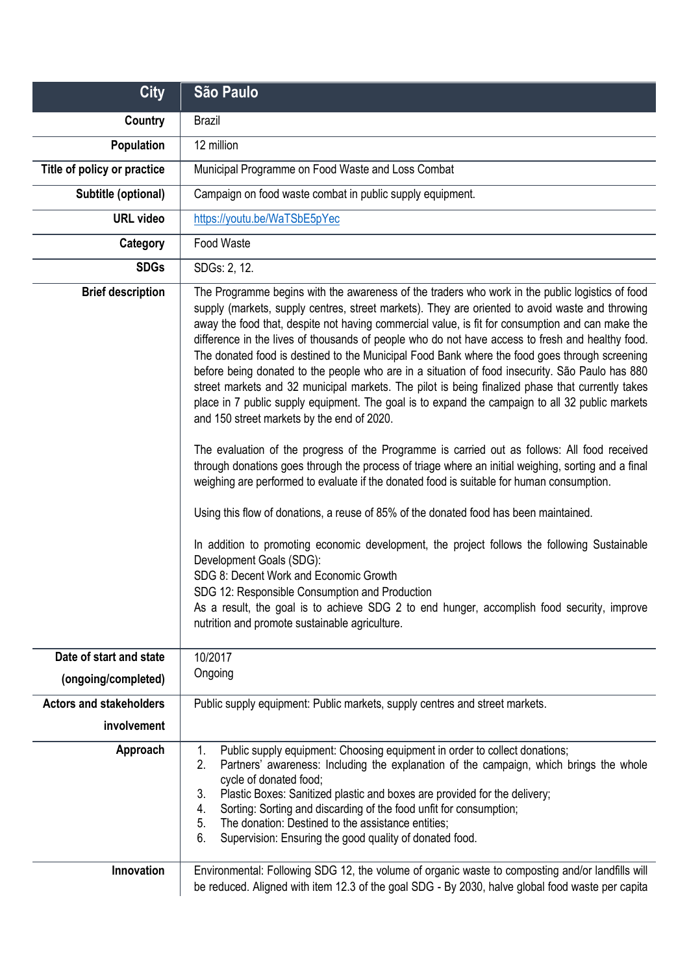| <b>City</b>                    | São Paulo                                                                                                                                                                                                                                                                                                                                                                                                                                                                                                                                                                                                                                                                                                                                                                                                                                                                                                                                                                                                                                                                                                                                                                                                                                                                                                                                                                                                                                                                                                                                                                                                                                |
|--------------------------------|------------------------------------------------------------------------------------------------------------------------------------------------------------------------------------------------------------------------------------------------------------------------------------------------------------------------------------------------------------------------------------------------------------------------------------------------------------------------------------------------------------------------------------------------------------------------------------------------------------------------------------------------------------------------------------------------------------------------------------------------------------------------------------------------------------------------------------------------------------------------------------------------------------------------------------------------------------------------------------------------------------------------------------------------------------------------------------------------------------------------------------------------------------------------------------------------------------------------------------------------------------------------------------------------------------------------------------------------------------------------------------------------------------------------------------------------------------------------------------------------------------------------------------------------------------------------------------------------------------------------------------------|
| Country                        | <b>Brazil</b>                                                                                                                                                                                                                                                                                                                                                                                                                                                                                                                                                                                                                                                                                                                                                                                                                                                                                                                                                                                                                                                                                                                                                                                                                                                                                                                                                                                                                                                                                                                                                                                                                            |
| Population                     | 12 million                                                                                                                                                                                                                                                                                                                                                                                                                                                                                                                                                                                                                                                                                                                                                                                                                                                                                                                                                                                                                                                                                                                                                                                                                                                                                                                                                                                                                                                                                                                                                                                                                               |
| Title of policy or practice    | Municipal Programme on Food Waste and Loss Combat                                                                                                                                                                                                                                                                                                                                                                                                                                                                                                                                                                                                                                                                                                                                                                                                                                                                                                                                                                                                                                                                                                                                                                                                                                                                                                                                                                                                                                                                                                                                                                                        |
| Subtitle (optional)            | Campaign on food waste combat in public supply equipment.                                                                                                                                                                                                                                                                                                                                                                                                                                                                                                                                                                                                                                                                                                                                                                                                                                                                                                                                                                                                                                                                                                                                                                                                                                                                                                                                                                                                                                                                                                                                                                                |
| <b>URL</b> video               | https://youtu.be/WaTSbE5pYec                                                                                                                                                                                                                                                                                                                                                                                                                                                                                                                                                                                                                                                                                                                                                                                                                                                                                                                                                                                                                                                                                                                                                                                                                                                                                                                                                                                                                                                                                                                                                                                                             |
| Category                       | Food Waste                                                                                                                                                                                                                                                                                                                                                                                                                                                                                                                                                                                                                                                                                                                                                                                                                                                                                                                                                                                                                                                                                                                                                                                                                                                                                                                                                                                                                                                                                                                                                                                                                               |
| <b>SDGs</b>                    | SDGs: 2, 12.                                                                                                                                                                                                                                                                                                                                                                                                                                                                                                                                                                                                                                                                                                                                                                                                                                                                                                                                                                                                                                                                                                                                                                                                                                                                                                                                                                                                                                                                                                                                                                                                                             |
| <b>Brief description</b>       | The Programme begins with the awareness of the traders who work in the public logistics of food<br>supply (markets, supply centres, street markets). They are oriented to avoid waste and throwing<br>away the food that, despite not having commercial value, is fit for consumption and can make the<br>difference in the lives of thousands of people who do not have access to fresh and healthy food.<br>The donated food is destined to the Municipal Food Bank where the food goes through screening<br>before being donated to the people who are in a situation of food insecurity. São Paulo has 880<br>street markets and 32 municipal markets. The pilot is being finalized phase that currently takes<br>place in 7 public supply equipment. The goal is to expand the campaign to all 32 public markets<br>and 150 street markets by the end of 2020.<br>The evaluation of the progress of the Programme is carried out as follows: All food received<br>through donations goes through the process of triage where an initial weighing, sorting and a final<br>weighing are performed to evaluate if the donated food is suitable for human consumption.<br>Using this flow of donations, a reuse of 85% of the donated food has been maintained.<br>In addition to promoting economic development, the project follows the following Sustainable<br>Development Goals (SDG):<br>SDG 8: Decent Work and Economic Growth<br>SDG 12: Responsible Consumption and Production<br>As a result, the goal is to achieve SDG 2 to end hunger, accomplish food security, improve<br>nutrition and promote sustainable agriculture. |
| Date of start and state        | 10/2017                                                                                                                                                                                                                                                                                                                                                                                                                                                                                                                                                                                                                                                                                                                                                                                                                                                                                                                                                                                                                                                                                                                                                                                                                                                                                                                                                                                                                                                                                                                                                                                                                                  |
| (ongoing/completed)            | Ongoing                                                                                                                                                                                                                                                                                                                                                                                                                                                                                                                                                                                                                                                                                                                                                                                                                                                                                                                                                                                                                                                                                                                                                                                                                                                                                                                                                                                                                                                                                                                                                                                                                                  |
| <b>Actors and stakeholders</b> | Public supply equipment: Public markets, supply centres and street markets.                                                                                                                                                                                                                                                                                                                                                                                                                                                                                                                                                                                                                                                                                                                                                                                                                                                                                                                                                                                                                                                                                                                                                                                                                                                                                                                                                                                                                                                                                                                                                              |
| involvement                    |                                                                                                                                                                                                                                                                                                                                                                                                                                                                                                                                                                                                                                                                                                                                                                                                                                                                                                                                                                                                                                                                                                                                                                                                                                                                                                                                                                                                                                                                                                                                                                                                                                          |
| Approach                       | Public supply equipment: Choosing equipment in order to collect donations;<br>1.<br>2.<br>Partners' awareness: Including the explanation of the campaign, which brings the whole<br>cycle of donated food;<br>Plastic Boxes: Sanitized plastic and boxes are provided for the delivery;<br>3.<br>Sorting: Sorting and discarding of the food unfit for consumption;<br>4.<br>The donation: Destined to the assistance entities;<br>5.<br>6.<br>Supervision: Ensuring the good quality of donated food.                                                                                                                                                                                                                                                                                                                                                                                                                                                                                                                                                                                                                                                                                                                                                                                                                                                                                                                                                                                                                                                                                                                                   |
| Innovation                     | Environmental: Following SDG 12, the volume of organic waste to composting and/or landfills will<br>be reduced. Aligned with item 12.3 of the goal SDG - By 2030, halve global food waste per capita                                                                                                                                                                                                                                                                                                                                                                                                                                                                                                                                                                                                                                                                                                                                                                                                                                                                                                                                                                                                                                                                                                                                                                                                                                                                                                                                                                                                                                     |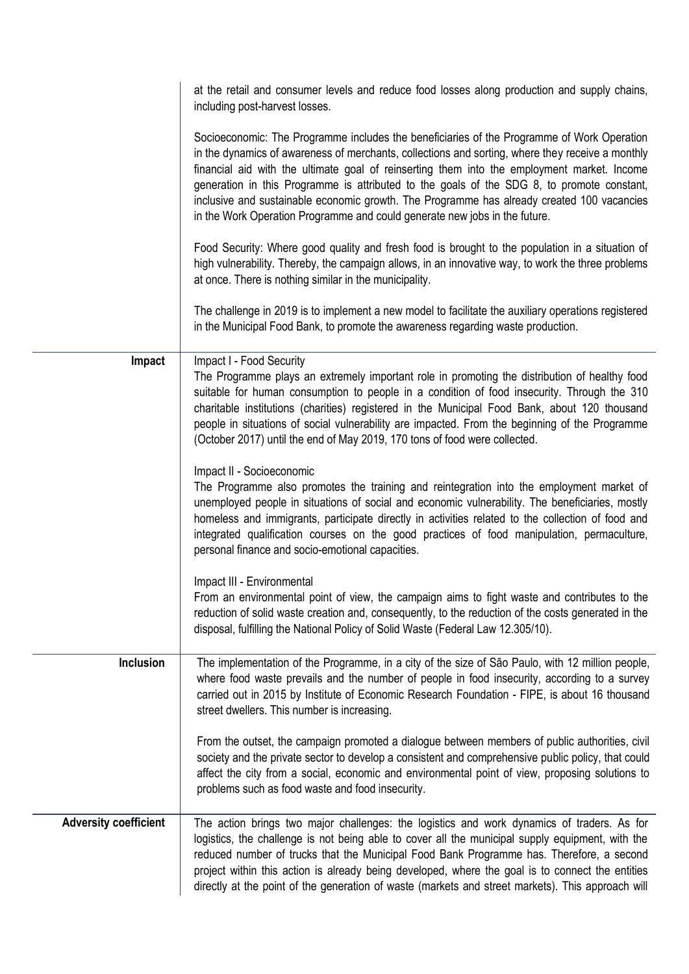|                              | at the retail and consumer levels and reduce food losses along production and supply chains,<br>including post-harvest losses.                                                                                                                                                                                                                                                                                                                                                                                                                                          |
|------------------------------|-------------------------------------------------------------------------------------------------------------------------------------------------------------------------------------------------------------------------------------------------------------------------------------------------------------------------------------------------------------------------------------------------------------------------------------------------------------------------------------------------------------------------------------------------------------------------|
|                              | Socioeconomic: The Programme includes the beneficiaries of the Programme of Work Operation<br>in the dynamics of awareness of merchants, collections and sorting, where they receive a monthly<br>financial aid with the ultimate goal of reinserting them into the employment market. Income<br>generation in this Programme is attributed to the goals of the SDG 8, to promote constant,<br>inclusive and sustainable economic growth. The Programme has already created 100 vacancies<br>in the Work Operation Programme and could generate new jobs in the future. |
|                              | Food Security: Where good quality and fresh food is brought to the population in a situation of<br>high vulnerability. Thereby, the campaign allows, in an innovative way, to work the three problems<br>at once. There is nothing similar in the municipality.                                                                                                                                                                                                                                                                                                         |
|                              | The challenge in 2019 is to implement a new model to facilitate the auxiliary operations registered<br>in the Municipal Food Bank, to promote the awareness regarding waste production.                                                                                                                                                                                                                                                                                                                                                                                 |
| Impact                       | Impact I - Food Security<br>The Programme plays an extremely important role in promoting the distribution of healthy food<br>suitable for human consumption to people in a condition of food insecurity. Through the 310<br>charitable institutions (charities) registered in the Municipal Food Bank, about 120 thousand<br>people in situations of social vulnerability are impacted. From the beginning of the Programme<br>(October 2017) until the end of May 2019, 170 tons of food were collected.                                                               |
|                              | Impact II - Socioeconomic<br>The Programme also promotes the training and reintegration into the employment market of<br>unemployed people in situations of social and economic vulnerability. The beneficiaries, mostly<br>homeless and immigrants, participate directly in activities related to the collection of food and<br>integrated qualification courses on the good practices of food manipulation, permaculture,<br>personal finance and socio-emotional capacities.                                                                                         |
|                              | Impact III - Environmental<br>From an environmental point of view, the campaign aims to fight waste and contributes to the<br>reduction of solid waste creation and, consequently, to the reduction of the costs generated in the<br>disposal, fulfilling the National Policy of Solid Waste (Federal Law 12.305/10).                                                                                                                                                                                                                                                   |
| Inclusion                    | The implementation of the Programme, in a city of the size of São Paulo, with 12 million people,<br>where food waste prevails and the number of people in food insecurity, according to a survey<br>carried out in 2015 by Institute of Economic Research Foundation - FIPE, is about 16 thousand<br>street dwellers. This number is increasing.                                                                                                                                                                                                                        |
|                              | From the outset, the campaign promoted a dialogue between members of public authorities, civil<br>society and the private sector to develop a consistent and comprehensive public policy, that could<br>affect the city from a social, economic and environmental point of view, proposing solutions to<br>problems such as food waste and food insecurity.                                                                                                                                                                                                             |
| <b>Adversity coefficient</b> | The action brings two major challenges: the logistics and work dynamics of traders. As for<br>logistics, the challenge is not being able to cover all the municipal supply equipment, with the<br>reduced number of trucks that the Municipal Food Bank Programme has. Therefore, a second<br>project within this action is already being developed, where the goal is to connect the entities<br>directly at the point of the generation of waste (markets and street markets). This approach will                                                                     |